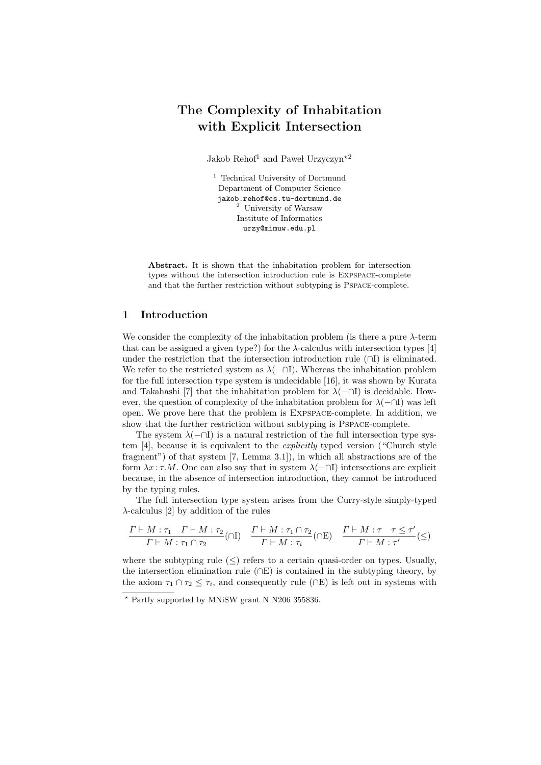# The Complexity of Inhabitation with Explicit Intersection

Jakob Rehof<sup>1</sup> and Pawel Urzyczyn<sup>\*2</sup>

<sup>1</sup> Technical University of Dortmund Department of Computer Science jakob.rehof@cs.tu-dortmund.de <sup>2</sup> University of Warsaw Institute of Informatics urzy@mimuw.edu.pl

Abstract. It is shown that the inhabitation problem for intersection types without the intersection introduction rule is Expspace-complete and that the further restriction without subtyping is Pspace-complete.

# 1 Introduction

We consider the complexity of the inhabitation problem (is there a pure λ-term that can be assigned a given type?) for the  $\lambda$ -calculus with intersection types [4] under the restriction that the intersection introduction rule  $(\cap I)$  is eliminated. We refer to the restricted system as  $\lambda$ ( $\neg$ T). Whereas the inhabitation problem for the full intersection type system is undecidable [16], it was shown by Kurata and Takahashi [7] that the inhabitation problem for  $\lambda$ ( $\neg$ ) is decidable. However, the question of complexity of the inhabitation problem for  $\lambda(-\cap I)$  was left open. We prove here that the problem is Expspace-complete. In addition, we show that the further restriction without subtyping is Pspace-complete.

The system  $\lambda$ ( $\cap$ I) is a natural restriction of the full intersection type system [4], because it is equivalent to the explicitly typed version ("Church style fragment") of that system [7, Lemma 3.1]), in which all abstractions are of the form  $\lambda x : \tau.M$ . One can also say that in system  $\lambda$ ( $\neg$ I) intersections are explicit because, in the absence of intersection introduction, they cannot be introduced by the typing rules.

The full intersection type system arises from the Curry-style simply-typed  $\lambda$ -calculus [2] by addition of the rules

$$
\frac{\varGamma\vdash M:\tau_1\quad \varGamma\vdash M:\tau_2}{\varGamma\vdash M:\tau_1\cap\tau_2}(\cap\mathrm{I})\quad \frac{\varGamma\vdash M:\tau_1\cap\tau_2}{\varGamma\vdash M:\tau_i}(\cap\mathrm{E})\quad \frac{\varGamma\vdash M:\tau\quad \tau\leq\tau'}{\varGamma\vdash M:\tau'}(\leq)
$$

where the subtyping rule  $(\leq)$  refers to a certain quasi-order on types. Usually, the intersection elimination rule  $(∩E)$  is contained in the subtyping theory, by the axiom  $\tau_1 \cap \tau_2 \leq \tau_i$ , and consequently rule ( $\cap$ E) is left out in systems with

<sup>?</sup> Partly supported by MNiSW grant N N206 355836.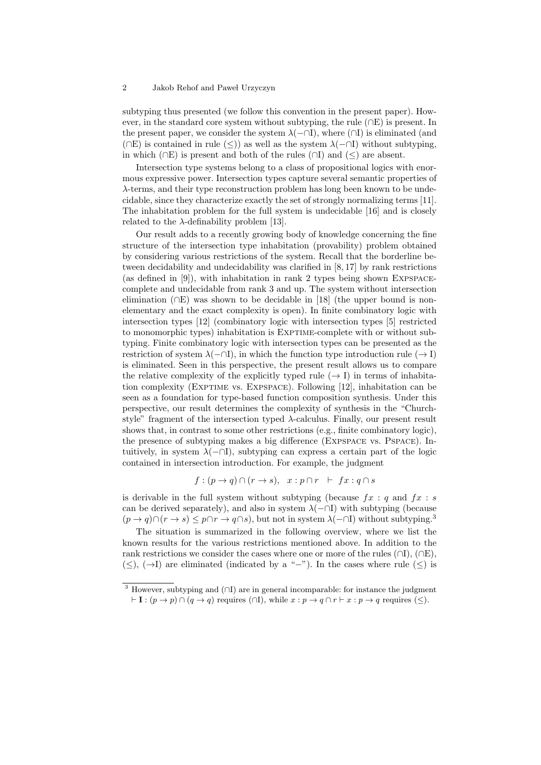subtyping thus presented (we follow this convention in the present paper). However, in the standard core system without subtyping, the rule ( $\cap$ E) is present. In the present paper, we consider the system  $\lambda$ ( $\neg$ I), where ( $\cap$ I) is eliminated (and (∩E) is contained in rule (≤)) as well as the system  $\lambda$ (−∩I) without subtyping, in which ( $\cap$ E) is present and both of the rules ( $\cap$ I) and ( $\leq$ ) are absent.

Intersection type systems belong to a class of propositional logics with enormous expressive power. Intersection types capture several semantic properties of λ-terms, and their type reconstruction problem has long been known to be undecidable, since they characterize exactly the set of strongly normalizing terms [11]. The inhabitation problem for the full system is undecidable [16] and is closely related to the  $\lambda$ -definability problem [13].

Our result adds to a recently growing body of knowledge concerning the fine structure of the intersection type inhabitation (provability) problem obtained by considering various restrictions of the system. Recall that the borderline between decidability and undecidability was clarified in [8, 17] by rank restrictions (as defined in  $[9]$ ), with inhabitation in rank 2 types being shown EXPSPACEcomplete and undecidable from rank 3 and up. The system without intersection elimination ( $\cap$ E) was shown to be decidable in [18] (the upper bound is nonelementary and the exact complexity is open). In finite combinatory logic with intersection types [12] (combinatory logic with intersection types [5] restricted to monomorphic types) inhabitation is EXPTIME-complete with or without subtyping. Finite combinatory logic with intersection types can be presented as the restriction of system  $\lambda(-\cap I)$ , in which the function type introduction rule ( $\rightarrow I$ ) is eliminated. Seen in this perspective, the present result allows us to compare the relative complexity of the explicitly typed rule  $(\rightarrow I)$  in terms of inhabitation complexity (EXPTIME vs. EXPSPACE). Following [12], inhabitation can be seen as a foundation for type-based function composition synthesis. Under this perspective, our result determines the complexity of synthesis in the "Churchstyle" fragment of the intersection typed  $\lambda$ -calculus. Finally, our present result shows that, in contrast to some other restrictions (e.g., finite combinatory logic), the presence of subtyping makes a big difference (Expspace vs. Pspace). Intuitively, in system  $\lambda$ ( $\neg$ D), subtyping can express a certain part of the logic contained in intersection introduction. For example, the judgment

$$
f:(p \rightarrow q) \cap (r \rightarrow s), \quad x:p \cap r \vdash fx:q \cap s
$$

is derivable in the full system without subtyping (because  $fx : q$  and  $fx : s$ can be derived separately), and also in system  $\lambda$ ( $\neg$ I) with subtyping (because  $(p \to q) \cap (r \to s) \leq p \cap r \to q \cap s$ , but not in system  $\lambda(-\cap I)$  without subtyping.<sup>3</sup>

The situation is summarized in the following overview, where we list the known results for the various restrictions mentioned above. In addition to the rank restrictions we consider the cases where one or more of the rules  $(∩I)$ ,  $(∩E)$ ,  $(\le)$ ,  $(\rightarrow)$  are eliminated (indicated by a "−"). In the cases where rule  $(\le)$  is

<sup>3</sup> However, subtyping and (∩I) are in general incomparable: for instance the judgment  $\vdash I : (p \to p) \cap (q \to q)$  requires ( $\cap I$ ), while  $x : p \to q \cap r \vdash x : p \to q$  requires (<).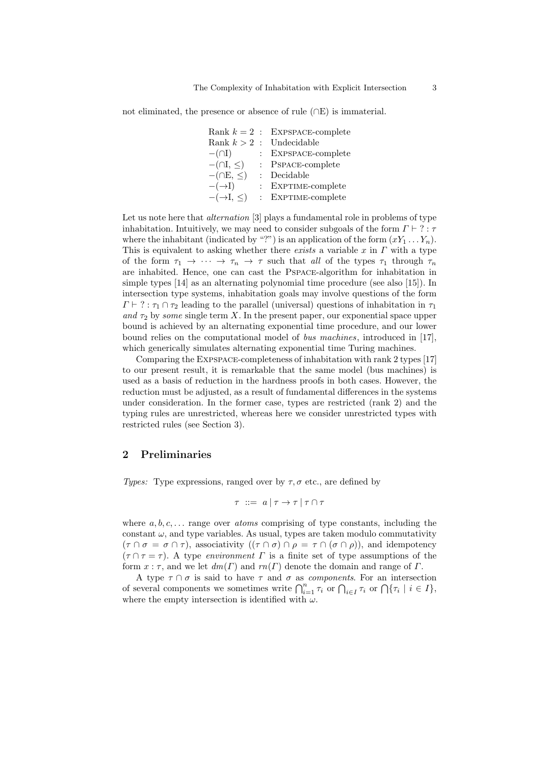not eliminated, the presence or absence of rule (∩E) is immaterial.

|                            | Rank $k=2$ : EXPSPACE-complete |
|----------------------------|--------------------------------|
|                            | Rank $k > 2$ : Undecidable     |
| $-$ ( $\cap$ I)            | $:$ EXPSPACE-complete          |
| $-(\cap I, \leq)$          | : PSPACE-complete              |
| $-(\cap E, \leq)$          | : Decidable                    |
| $-(-1)$                    | $:$ EXPTIME-complete           |
| $ (\rightarrow$ I, $\leq)$ | $:$ EXPTIME-complete           |

Let us note here that *alternation* [3] plays a fundamental role in problems of type inhabitation. Intuitively, we may need to consider subgoals of the form  $\Gamma \vdash ? : \tau$ where the inhabitant (indicated by "?") is an application of the form  $(xY_1 \ldots Y_n)$ . This is equivalent to asking whether there *exists* a variable  $x$  in  $\Gamma$  with a type of the form  $\tau_1 \to \cdots \to \tau_n \to \tau$  such that all of the types  $\tau_1$  through  $\tau_n$ are inhabited. Hence, one can cast the Pspace-algorithm for inhabitation in simple types [14] as an alternating polynomial time procedure (see also [15]). In intersection type systems, inhabitation goals may involve questions of the form  $\Gamma \vdash ? : \tau_1 \cap \tau_2$  leading to the parallel (universal) questions of inhabitation in  $\tau_1$ and  $\tau_2$  by some single term X. In the present paper, our exponential space upper bound is achieved by an alternating exponential time procedure, and our lower bound relies on the computational model of bus machines, introduced in [17], which generically simulates alternating exponential time Turing machines.

Comparing the Expspace-completeness of inhabitation with rank 2 types [17] to our present result, it is remarkable that the same model (bus machines) is used as a basis of reduction in the hardness proofs in both cases. However, the reduction must be adjusted, as a result of fundamental differences in the systems under consideration. In the former case, types are restricted (rank 2) and the typing rules are unrestricted, whereas here we consider unrestricted types with restricted rules (see Section 3).

## 2 Preliminaries

Types: Type expressions, ranged over by  $\tau$ ,  $\sigma$  etc., are defined by

 $\tau$  ::=  $a \mid \tau \to \tau \mid \tau \cap \tau$ 

where  $a, b, c, \ldots$  range over *atoms* comprising of type constants, including the constant  $\omega$ , and type variables. As usual, types are taken modulo commutativity  $(\tau \cap \sigma = \sigma \cap \tau)$ , associativity  $((\tau \cap \sigma) \cap \rho = \tau \cap (\sigma \cap \rho))$ , and idempotency  $(\tau \cap \tau = \tau)$ . A type environment  $\Gamma$  is a finite set of type assumptions of the form  $x : \tau$ , and we let  $dm(\Gamma)$  and  $rm(\Gamma)$  denote the domain and range of  $\Gamma$ .

A type  $\tau \cap \sigma$  is said to have  $\tau$  and  $\sigma$  as *components*. For an intersection of several components we sometimes write  $\bigcap_{i=1}^n \tau_i$  or  $\bigcap_{i\in I} \tau_i$  or  $\bigcap \{\tau_i \mid i \in I\}$ , where the empty intersection is identified with  $\omega$ .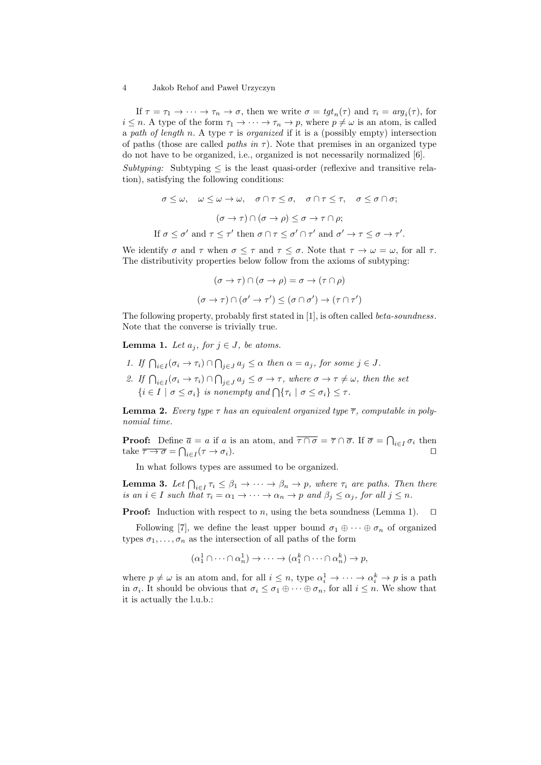If  $\tau = \tau_1 \to \cdots \to \tau_n \to \sigma$ , then we write  $\sigma = tgt_n(\tau)$  and  $\tau_i = arg_i(\tau)$ , for  $i \leq n$ . A type of the form  $\tau_1 \to \cdots \to \tau_n \to p$ , where  $p \neq \omega$  is an atom, is called a path of length n. A type  $\tau$  is organized if it is a (possibly empty) intersection of paths (those are called *paths in*  $\tau$ ). Note that premises in an organized type do not have to be organized, i.e., organized is not necessarily normalized [6].  $Subtuning$ : Subtyping  $\leq$  is the least quasi-order (reflexive and transitive relation), satisfying the following conditions:

$$
\sigma \leq \omega, \quad \omega \leq \omega \to \omega, \quad \sigma \cap \tau \leq \sigma, \quad \sigma \cap \tau \leq \tau, \quad \sigma \leq \sigma \cap \sigma;
$$

$$
(\sigma \to \tau) \cap (\sigma \to \rho) \leq \sigma \to \tau \cap \rho;
$$
If  $\sigma \leq \sigma'$  and  $\tau \leq \tau'$  then  $\sigma \cap \tau \leq \sigma' \cap \tau'$  and  $\sigma' \to \tau \leq \sigma \to \tau$ 

We identify  $\sigma$  and  $\tau$  when  $\sigma \leq \tau$  and  $\tau \leq \sigma$ . Note that  $\tau \to \omega = \omega$ , for all  $\tau$ . The distributivity properties below follow from the axioms of subtyping:

 $\cdot$ 

$$
(\sigma \to \tau) \cap (\sigma \to \rho) = \sigma \to (\tau \cap \rho)
$$

$$
(\sigma \to \tau) \cap (\sigma' \to \tau') \leq (\sigma \cap \sigma') \to (\tau \cap \tau')
$$

The following property, probably first stated in [1], is often called *beta-soundness*. Note that the converse is trivially true.

**Lemma 1.** Let  $a_i$ , for  $i \in J$ , be atoms.

1. If  $\bigcap_{i\in I} (\sigma_i \to \tau_i) \cap \bigcap_{j\in J} a_j \leq \alpha$  then  $\alpha = a_j$ , for some  $j \in J$ . 2. If  $\bigcap_{i\in I}(\sigma_i\to\tau_i)\cap\bigcap_{j\in J}a_j\leq\sigma\to\tau$ , where  $\sigma\to\tau\neq\omega$ , then the set  $\{i \in I \mid \sigma \leq \sigma_i\}$  is nonempty and  $\bigcap \{\tau_i \mid \sigma \leq \sigma_i\} \leq \tau$ .

**Lemma 2.** Every type  $\tau$  has an equivalent organized type  $\overline{\tau}$ , computable in polynomial time.

**Proof:** Define  $\bar{a} = a$  if a is an atom, and  $\overline{\tau \cap \sigma} = \overline{\tau} \cap \overline{\sigma}$ . If  $\overline{\sigma} = \bigcap_{i \in I} \sigma_i$  then take  $\overline{\tau \to \sigma} = \bigcap_{i \in I} (\tau \to \sigma_i).$ 

In what follows types are assumed to be organized.

**Lemma 3.** Let  $\bigcap_{i \in I} \tau_i \leq \beta_1 \to \cdots \to \beta_n \to p$ , where  $\tau_i$  are paths. Then there is an  $i \in I$  such that  $\tau_i = \alpha_1 \to \cdots \to \alpha_n \to p$  and  $\beta_j \leq \alpha_j$ , for all  $j \leq n$ .

**Proof:** Induction with respect to n, using the beta soundness (Lemma 1).  $\Box$ 

Following [7], we define the least upper bound  $\sigma_1 \oplus \cdots \oplus \sigma_n$  of organized types  $\sigma_1, \ldots, \sigma_n$  as the intersection of all paths of the form

$$
(\alpha_1^1 \cap \cdots \cap \alpha_n^1) \to \cdots \to (\alpha_1^k \cap \cdots \cap \alpha_n^k) \to p,
$$

where  $p \neq \omega$  is an atom and, for all  $i \leq n$ , type  $\alpha_i^1 \to \cdots \to \alpha_i^k \to p$  is a path in  $\sigma_i$ . It should be obvious that  $\sigma_i \leq \sigma_1 \oplus \cdots \oplus \sigma_n$ , for all  $i \leq n$ . We show that it is actually the l.u.b.: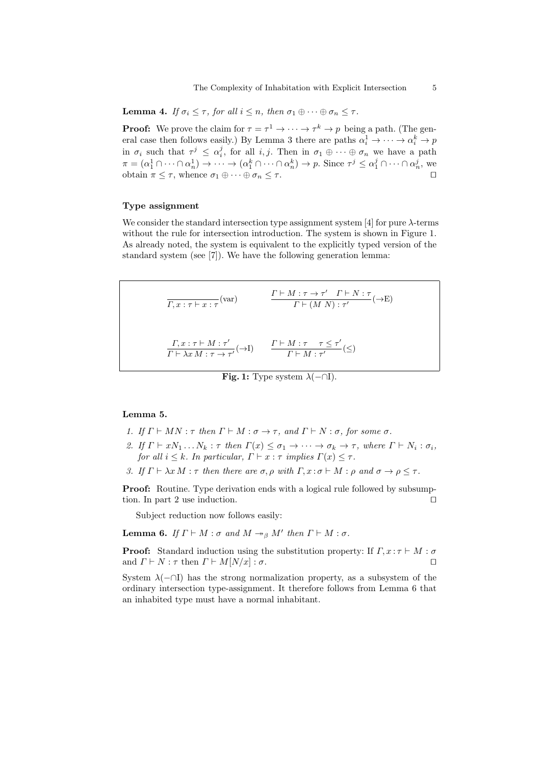**Lemma 4.** If  $\sigma_i \leq \tau$ , for all  $i \leq n$ , then  $\sigma_1 \oplus \cdots \oplus \sigma_n \leq \tau$ .

**Proof:** We prove the claim for  $\tau = \tau^1 \to \cdots \to \tau^k \to p$  being a path. (The general case then follows easily.) By Lemma 3 there are paths  $\alpha_i^1 \to \cdots \to \alpha_i^k \to p$ in  $\sigma_i$  such that  $\tau^j \leq \alpha_i^j$ , for all  $i, j$ . Then in  $\sigma_1 \oplus \cdots \oplus \sigma_n$  we have a path  $\pi = (\alpha_1^1 \cap \cdots \cap \alpha_n^1) \to \cdots \to (\alpha_1^k \cap \cdots \cap \alpha_n^k) \to p$ . Since  $\tau^j \leq \alpha_1^j \cap \cdots \cap \alpha_n^j$ , we obtain  $\pi \leq \tau$ , whence  $\sigma_1 \oplus \cdots \oplus \sigma_n \leq \tau$ .

#### Type assignment

We consider the standard intersection type assignment system [4] for pure  $\lambda$ -terms without the rule for intersection introduction. The system is shown in Figure 1. As already noted, the system is equivalent to the explicitly typed version of the standard system (see [7]). We have the following generation lemma:

 $\frac{\Gamma \vdash M : \tau \to \tau' \quad \Gamma \vdash N : \tau}{\Gamma \vdash (M \ N) : \tau'}$  $\frac{T + (M \ N) : \tau'}{T + (M \ N) : \tau'}$  ( $\rightarrow$ E)  $\Gamma, x : \tau \vdash M : \tau'$  $\frac{\Gamma, x : \tau \vdash M : \tau'}{\Gamma \vdash \lambda x M : \tau \to \tau'} (\to I) \qquad \frac{\Gamma \vdash M : \tau \quad \tau \leq \tau'}{\Gamma \vdash M : \tau'}$  $\frac{m \cdot r}{\Gamma \vdash M : \tau'}$  ( $\leq$ )

Fig. 1: Type system  $\lambda(-\cap I)$ .

# Lemma 5.

- 1. If  $\Gamma \vdash MN : \tau$  then  $\Gamma \vdash M : \sigma \rightarrow \tau$ , and  $\Gamma \vdash N : \sigma$ , for some  $\sigma$ .
- 2. If  $\Gamma \vdash xN_1 \ldots N_k : \tau$  then  $\Gamma(x) \leq \sigma_1 \rightarrow \cdots \rightarrow \sigma_k \rightarrow \tau$ , where  $\Gamma \vdash N_i : \sigma_i$ , for all  $i \leq k$ . In particular,  $\Gamma \vdash x : \tau$  implies  $\Gamma(x) \leq \tau$ .
- 3. If  $\Gamma \vdash \lambda x M : \tau$  then there are  $\sigma, \rho$  with  $\Gamma, x : \sigma \vdash M : \rho$  and  $\sigma \rightarrow \rho \leq \tau$ .

**Proof:** Routine. Type derivation ends with a logical rule followed by subsumption. In part 2 use induction.  $\square$ 

Subject reduction now follows easily:

**Lemma 6.** If  $\Gamma \vdash M : \sigma$  and  $M \rightarrow_{\beta} M'$  then  $\Gamma \vdash M : \sigma$ .

**Proof:** Standard induction using the substitution property: If  $\Gamma, x : \tau \vdash M : \sigma$ and  $\Gamma \vdash N : \tau$  then  $\Gamma \vdash M[N/x] : \sigma$ .

System  $\lambda$ (−∩I) has the strong normalization property, as a subsystem of the ordinary intersection type-assignment. It therefore follows from Lemma 6 that an inhabited type must have a normal inhabitant.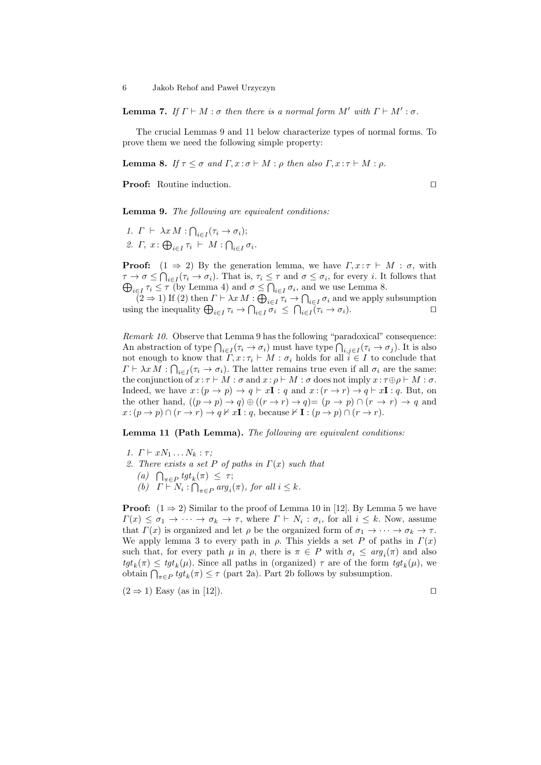**Lemma 7.** If  $\Gamma \vdash M : \sigma$  then there is a normal form  $M'$  with  $\Gamma \vdash M' : \sigma$ .

The crucial Lemmas 9 and 11 below characterize types of normal forms. To prove them we need the following simple property:

**Lemma 8.** If  $\tau \leq \sigma$  and  $\Gamma, x : \sigma \vdash M : \rho$  then also  $\Gamma, x : \tau \vdash M : \rho$ .

**Proof:** Routine induction.

Lemma 9. The following are equivalent conditions:

1.  $\Gamma \vdash \lambda x M : \bigcap_{i \in I} (\tau_i \to \sigma_i);$ 2.  $\Gamma, x : \bigoplus_{i \in I} \tau_i \vdash M : \bigcap_{i \in I} \sigma_i.$ 

**Proof:**  $(1 \Rightarrow 2)$  By the generation lemma, we have  $\Gamma, x : \tau \vdash M : \sigma$ , with  $\tau \to \sigma \leq \bigcap_{i \in I} (\tau_i \to \sigma_i)$ . That is,  $\tau_i \leq \tau$  and  $\sigma \leq \sigma_i$ , for every *i*. It follows that  $\bigoplus_{i\in I}\tau_i\leq \tau$  (by Lemma 4) and  $\sigma\leq \bigcap_{i\in I}\sigma_i$ , and we use Lemma 8.

 $(2 \Rightarrow 1)$  If  $(2)$  then  $\Gamma \vdash \lambda x M : \bigoplus_{i \in I} \tau_i \to \bigcap_{i \in I} \sigma_i$  and we apply subsumption using the inequality  $\bigoplus_{i\in I} \tau_i \to \bigcap_{i\in I} \sigma_i \leq \bigcap_{i\in I} (\tau_i \to \sigma_i).$ 

Remark 10. Observe that Lemma 9 has the following "paradoxical" consequence: An abstraction of type  $\bigcap_{i\in I}(\tau_i\to\sigma_i)$  must have type  $\bigcap_{i,j\in I}(\tau_i\to\sigma_j)$ . It is also not enough to know that  $\Gamma, x : \tau_i \vdash M : \sigma_i$  holds for all  $i \in I$  to conclude that  $\Gamma \vdash \lambda x \, M : \bigcap_{i \in I} (\tau_i \to \sigma_i)$ . The latter remains true even if all  $\sigma_i$  are the same: the conjunction of  $x : \tau \vdash M : \sigma$  and  $x : \rho \vdash M : \sigma$  does not imply  $x : \tau \oplus \rho \vdash M : \sigma$ . Indeed, we have  $x : (p \to p) \to q \vdash xI : q$  and  $x : (r \to r) \to q \vdash xI : q$ . But, on the other hand,  $((p \to p) \to q) \oplus ((r \to r) \to q) = (p \to p) \cap (r \to r) \to q$  and  $x:(p \to p) \cap (r \to r) \to q \nvdash x\mathbf{I}:q$ , because  $\nvdash \mathbf{I}:(p \to p) \cap (r \to r)$ .

Lemma 11 (Path Lemma). The following are equivalent conditions:

- 1.  $\Gamma \vdash xN_1 \ldots N_k : \tau$ ;
- 2. There exists a set P of paths in  $\Gamma(x)$  such that
	- (a)  $\bigcap_{\pi \in P} \text{tgt}_k(\pi) \leq \tau;$
	- (b)  $\Gamma \vdash N_i : \bigcap_{\pi \in P} arg_i(\pi)$ , for all  $i \leq k$ .

**Proof:**  $(1 \Rightarrow 2)$  Similar to the proof of Lemma 10 in [12]. By Lemma 5 we have  $\Gamma(x) \leq \sigma_1 \to \cdots \to \sigma_k \to \tau$ , where  $\Gamma \vdash N_i : \sigma_i$ , for all  $i \leq k$ . Now, assume that  $\Gamma(x)$  is organized and let  $\rho$  be the organized form of  $\sigma_1 \to \cdots \to \sigma_k \to \tau$ . We apply lemma 3 to every path in  $\rho$ . This yields a set P of paths in  $\Gamma(x)$ such that, for every path  $\mu$  in  $\rho$ , there is  $\pi \in P$  with  $\sigma_i \leq arg_i(\pi)$  and also  $tgt_k(\pi) \leq tgt_k(\mu)$ . Since all paths in (organized)  $\tau$  are of the form  $tgt_k(\mu)$ , we obtain  $\bigcap_{\pi \in P} \text{tgt}_k(\pi) \leq \tau$  (part 2a). Part 2b follows by subsumption.

 $(2 \Rightarrow 1)$  Easy (as in [12]).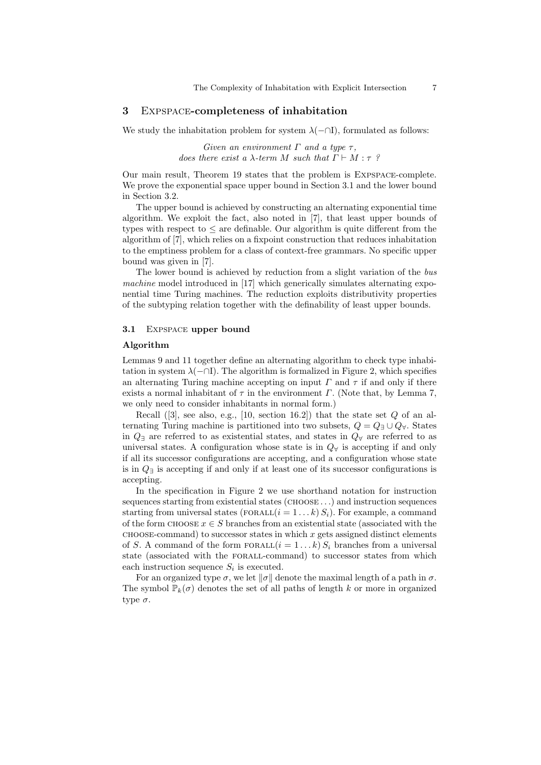#### 3 Expspace-completeness of inhabitation

We study the inhabitation problem for system  $\lambda$ (-∩I), formulated as follows:

Given an environment  $\Gamma$  and a type  $\tau$ , does there exist a  $\lambda$ -term M such that  $\Gamma \vdash M : \tau$ ?

Our main result, Theorem 19 states that the problem is Expspace-complete. We prove the exponential space upper bound in Section 3.1 and the lower bound in Section 3.2.

The upper bound is achieved by constructing an alternating exponential time algorithm. We exploit the fact, also noted in [7], that least upper bounds of types with respect to  $\leq$  are definable. Our algorithm is quite different from the algorithm of [7], which relies on a fixpoint construction that reduces inhabitation to the emptiness problem for a class of context-free grammars. No specific upper bound was given in [7].

The lower bound is achieved by reduction from a slight variation of the bus machine model introduced in [17] which generically simulates alternating exponential time Turing machines. The reduction exploits distributivity properties of the subtyping relation together with the definability of least upper bounds.

## 3.1 EXPSPACE upper bound

#### Algorithm

Lemmas 9 and 11 together define an alternating algorithm to check type inhabitation in system  $\lambda$ ( $\neg$ T). The algorithm is formalized in Figure 2, which specifies an alternating Turing machine accepting on input  $\Gamma$  and  $\tau$  if and only if there exists a normal inhabitant of  $\tau$  in the environment  $\Gamma$ . (Note that, by Lemma 7, we only need to consider inhabitants in normal form.)

Recall  $([3],$  see also, e.g.,  $[10, \text{ section } 16.2])$  that the state set Q of an alternating Turing machine is partitioned into two subsets,  $Q = Q_{\exists} \cup Q_{\forall}$ . States in  $Q$ <sub>∃</sub> are referred to as existential states, and states in  $Q<sub>∀</sub>$  are referred to as universal states. A configuration whose state is in  $Q<sub>\forall</sub>$  is accepting if and only if all its successor configurations are accepting, and a configuration whose state is in Q<sup>∃</sup> is accepting if and only if at least one of its successor configurations is accepting.

In the specification in Figure 2 we use shorthand notation for instruction sequences starting from existential states (CHOOSE . . . ) and instruction sequences starting from universal states ( $FORALL(i = 1...k) S_i$ ). For example, a command of the form  $\text{CHOOSE } x \in S$  branches from an existential state (associated with the  $CHOOSE$ -command) to successor states in which x gets assigned distinct elements of S. A command of the form  $FORALL(i = 1...k) S_i$  branches from a universal state (associated with the forall-command) to successor states from which each instruction sequence  $S_i$  is executed.

For an organized type  $\sigma$ , we let  $\|\sigma\|$  denote the maximal length of a path in  $\sigma$ . The symbol  $\mathbb{P}_k(\sigma)$  denotes the set of all paths of length k or more in organized type  $\sigma$ .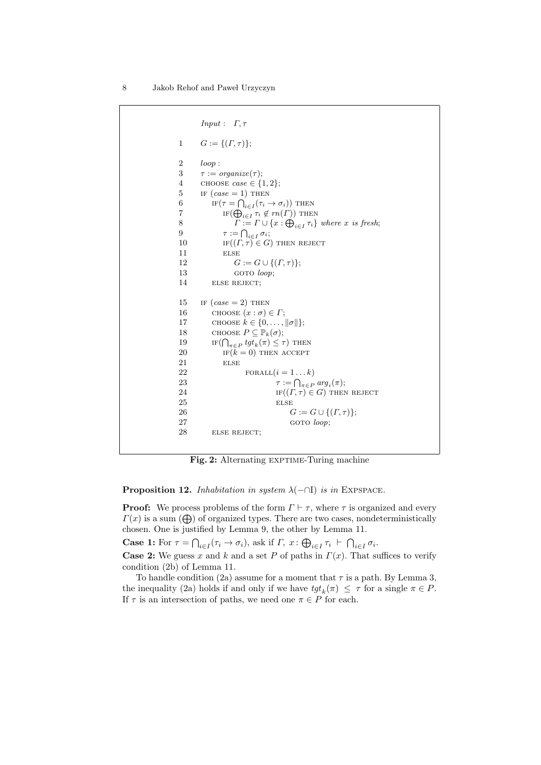```
Input: \quad \Gamma, \tau1 G := \{(\Gamma, \tau)\};2 loop :
3 \tau := \text{organic}(\tau);4 CHOOSE case \in \{1, 2\};5 IF (case = 1) THEN
6 IF(\tau = \bigcap_{i \in I} (\tau_i \to \sigma_i)) THEN
7 IF(\bigoplus_{i\in I}\tau_i \notin rn(\Gamma)) THEN
8 \Gamma := \Gamma \cup \{x : \bigoplus_{i \in I} \tau_i\} where x is fresh;
9 \tau := \bigcap_{i \in I} \sigma_i;10 if (\Gamma, \tau) \in G) then reject
11 ELSE
12 G := G \cup \{(T, \tau)\};13 GOTO loop;
14 ELSE REJECT;
15 IF (case = 2) THEN
16 CHOOSE (x : \sigma) \in \Gamma;
17 CHOOSE k \in \{0, \ldots, \|\sigma\|\};18 CHOOSE P \subseteq \mathbb{P}_k(\sigma);19 IF(\bigcap_{\pi \in P} \text{tgt}_k(\pi) \leq \tau) THEN
20 IF(k = 0) THEN ACCEPT
21 ELSE
22 FORALL(i = 1...k)23 \tau := \bigcap_{\pi \in P} arg_i(\pi);24 if (\Gamma, \tau) \in G) then reject
25 else
26 G := G \cup \{(T, \tau)\};27 GOTO loop;
28 ELSE REJECT:
```
Fig. 2: Alternating EXPTIME-Turing machine

**Proposition 12.** Inhabitation in system  $\lambda$ ( $\neg$  $\Box$ ) is in EXPSPACE.

**Proof:** We process problems of the form  $\Gamma \vdash \tau$ , where  $\tau$  is organized and every  $\Gamma(x)$  is a sum ( $\bigoplus$ ) of organized types. There are two cases, nondeterministically chosen. One is justified by Lemma 9, the other by Lemma 11.

**Case 1:** For  $\tau = \bigcap_{i \in I} (\tau_i \to \sigma_i)$ , ask if  $\Gamma$ ,  $x : \bigoplus_{i \in I} \tau_i \vdash \bigcap_{i \in I} \sigma_i$ .

**Case 2:** We guess x and k and a set P of paths in  $\Gamma(x)$ . That suffices to verify condition (2b) of Lemma 11.

To handle condition (2a) assume for a moment that  $\tau$  is a path. By Lemma 3, the inequality (2a) holds if and only if we have  $tgt_k(\pi) \leq \tau$  for a single  $\pi \in P$ . If  $\tau$  is an intersection of paths, we need one  $\pi \in P$  for each.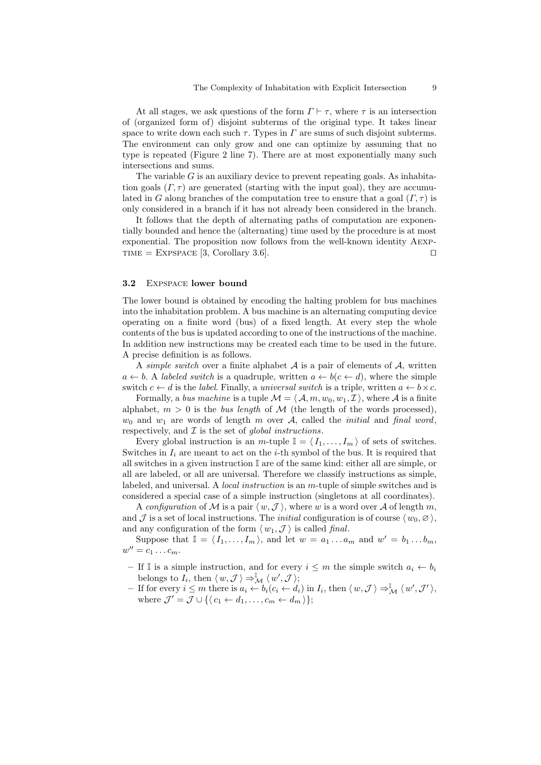At all stages, we ask questions of the form  $\Gamma \vdash \tau$ , where  $\tau$  is an intersection of (organized form of) disjoint subterms of the original type. It takes linear space to write down each such  $\tau$ . Types in  $\Gamma$  are sums of such disjoint subterms. The environment can only grow and one can optimize by assuming that no type is repeated (Figure 2 line 7). There are at most exponentially many such intersections and sums.

The variable  $G$  is an auxiliary device to prevent repeating goals. As inhabitation goals  $(\Gamma, \tau)$  are generated (starting with the input goal), they are accumulated in G along branches of the computation tree to ensure that a goal  $(\Gamma, \tau)$  is only considered in a branch if it has not already been considered in the branch.

It follows that the depth of alternating paths of computation are exponentially bounded and hence the (alternating) time used by the procedure is at most exponential. The proposition now follows from the well-known identity Aexp-TIME = EXPSPACE [3, Corollary 3.6].

### 3.2 EXPSPACE lower bound

The lower bound is obtained by encoding the halting problem for bus machines into the inhabitation problem. A bus machine is an alternating computing device operating on a finite word (bus) of a fixed length. At every step the whole contents of the bus is updated according to one of the instructions of the machine. In addition new instructions may be created each time to be used in the future. A precise definition is as follows.

A simple switch over a finite alphabet  $A$  is a pair of elements of  $A$ , written  $a \leftarrow b$ . A labeled switch is a quadruple, written  $a \leftarrow b(c \leftarrow d)$ , where the simple switch  $c \leftarrow d$  is the *label*. Finally, a *universal switch* is a triple, written  $a \leftarrow b \times c$ .

Formally, a bus machine is a tuple  $\mathcal{M} = \langle \mathcal{A}, m, w_0, w_1, \mathcal{I} \rangle$ , where A is a finite alphabet,  $m > 0$  is the bus length of M (the length of the words processed),  $w_0$  and  $w_1$  are words of length m over A, called the *initial* and *final word*, respectively, and  $\mathcal I$  is the set of global instructions.

Every global instruction is an  $m$ -tuple  $\mathbb{I} = \langle I_1, \ldots, I_m \rangle$  of sets of switches. Switches in  $I_i$  are meant to act on the *i*-th symbol of the bus. It is required that all switches in a given instruction I are of the same kind: either all are simple, or all are labeled, or all are universal. Therefore we classify instructions as simple, labeled, and universal. A local instruction is an m-tuple of simple switches and is considered a special case of a simple instruction (singletons at all coordinates).

A configuration of M is a pair  $\langle w,\mathcal{J}\rangle$ , where w is a word over A of length m, and J is a set of local instructions. The *initial* configuration is of course  $\langle w_0, \emptyset \rangle$ , and any configuration of the form  $\langle w_1,\mathcal{J}\rangle$  is called final.

Suppose that  $\mathbb{I} = \langle I_1, \ldots, I_m \rangle$ , and let  $w = a_1 \ldots a_m$  and  $w' = b_1 \ldots b_m$ ,  $w''=c_1\ldots c_m.$ 

- If I is a simple instruction, and for every  $i ≤ m$  the simple switch  $a_i ← b_i$ belongs to  $I_i$ , then  $\langle w, \mathcal{J} \rangle \Rightarrow^{\mathbb{I}}_{\mathcal{M}} \langle w', \mathcal{J} \rangle$ ;
- $-$  If for every  $i \leq m$  there is  $a_i \leftarrow b_i(c_i \leftarrow d_i)$  in  $I_i$ , then  $\langle w, \mathcal{J} \rangle \Rightarrow^{\mathbb{I}}_{\mathcal{M}} \langle w', \mathcal{J}' \rangle$ , where  $\mathcal{J}' = \mathcal{J} \cup \{ \langle c_1 \leftarrow d_1, \dots, c_m \leftarrow d_m \rangle \};$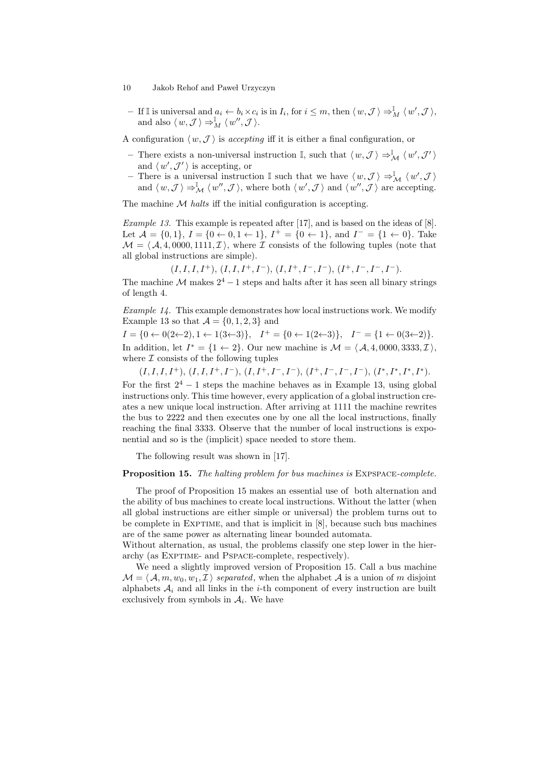$-$  If I is universal and  $a_i \leftarrow b_i \times c_i$  is in  $I_i$ , for  $i \leq m$ , then  $\langle w, \mathcal{J} \rangle \Rightarrow_M^{\mathbb{I}} \langle w', \mathcal{J} \rangle$ , and also  $\langle w, \mathcal{J} \rangle \Rightarrow_M^{\mathbb{I}} \langle w'', \mathcal{J} \rangle$ .

A configuration  $\langle w,\mathcal{J}\rangle$  is accepting iff it is either a final configuration, or

- − There exists a non-universal instruction  $\mathbb{I}$ , such that  $\langle w, \mathcal{J} \rangle \Rightarrow^{\mathbb{I}}_{\mathcal{M}} \langle w', \mathcal{J}' \rangle$ and  $\langle w', \mathcal{J}' \rangle$  is accepting, or
- There is a universal instruction  $\mathbb I$  such that we have  $\langle w, \mathcal{J} \rangle \Rightarrow^{\mathbb I}_{\mathcal{M}} \langle w', \mathcal{J} \rangle$ and  $\langle w, \mathcal{J} \rangle \Rightarrow^{\mathbb{I}}_{\mathcal{M}} \langle w'', \mathcal{J} \rangle$ , where both  $\langle w', \mathcal{J} \rangle$  and  $\langle w'', \mathcal{J} \rangle$  are accepting.

The machine  $M$  halts iff the initial configuration is accepting.

Example 13. This example is repeated after [17], and is based on the ideas of [8]. Let  $\mathcal{A} = \{0, 1\}, I = \{0 \leftarrow 0, 1 \leftarrow 1\}, I^+ = \{0 \leftarrow 1\}, \text{ and } I^- = \{1 \leftarrow 0\}.$  Take  $\mathcal{M} = \langle \mathcal{A}, 4, 0000, 1111, \mathcal{I} \rangle$ , where  $\mathcal{I}$  consists of the following tuples (note that all global instructions are simple).

 $(I, I, I, I^+), (I, I, I^+, I^-), (I, I^+, I^-, I^-), (I^+, I^-, I^-, I^-).$ 

The machine M makes  $2^4 - 1$  steps and halts after it has seen all binary strings of length 4.

Example 14. This example demonstrates how local instructions work. We modify Example 13 so that  $\mathcal{A} = \{0, 1, 2, 3\}$  and

 $I = \{0 \leftarrow 0(2 \leftarrow 2), 1 \leftarrow 1(3 \leftarrow 3)\}, \quad I^+ = \{0 \leftarrow 1(2 \leftarrow 3)\}, \quad I^- = \{1 \leftarrow 0(3 \leftarrow 2)\}.$ In addition, let  $I^* = \{1 \leftarrow 2\}$ . Our new machine is  $\mathcal{M} = \langle \mathcal{A}, 4, 0000, 3333, \mathcal{I} \rangle$ , where  $I$  consists of the following tuples

 $(I, I, I, I^+), (I, I, I^+, I^-), (I, I^+, I^-, I^-), (I^+, I^-, I^-, I^-), (I^*, I^*, I^*, I^*).$ For the first  $2^4 - 1$  steps the machine behaves as in Example 13, using global instructions only. This time however, every application of a global instruction creates a new unique local instruction. After arriving at 1111 the machine rewrites the bus to 2222 and then executes one by one all the local instructions, finally reaching the final 3333. Observe that the number of local instructions is exponential and so is the (implicit) space needed to store them.

The following result was shown in [17].

#### Proposition 15. The halting problem for bus machines is EXPSPACE-complete.

The proof of Proposition 15 makes an essential use of both alternation and the ability of bus machines to create local instructions. Without the latter (when all global instructions are either simple or universal) the problem turns out to be complete in EXPTIME, and that is implicit in [8], because such bus machines are of the same power as alternating linear bounded automata.

Without alternation, as usual, the problems classify one step lower in the hierarchy (as Exptime- and Pspace-complete, respectively).

We need a slightly improved version of Proposition 15. Call a bus machine  $\mathcal{M} = \langle \mathcal{A}, m, w_0, w_1, \mathcal{I} \rangle$  separated, when the alphabet A is a union of m disjoint alphabets  $A_i$  and all links in the *i*-th component of every instruction are built exclusively from symbols in  $A_i$ . We have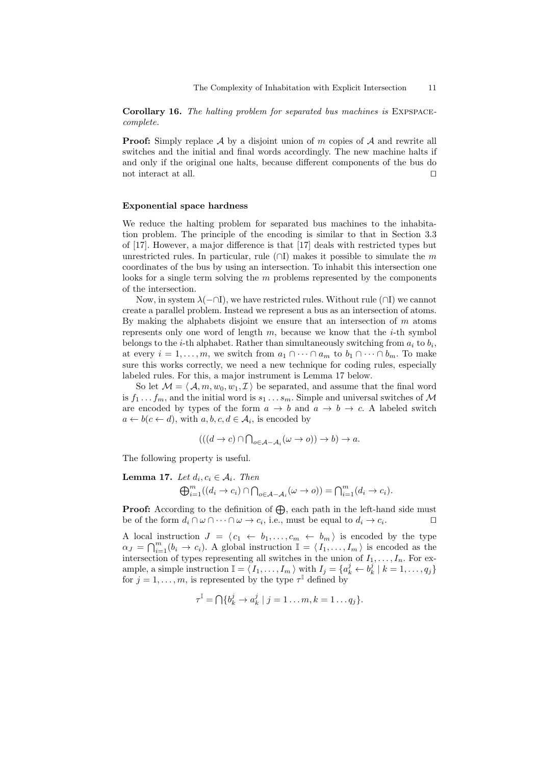Corollary 16. The halting problem for separated bus machines is EXPSPACEcomplete.

**Proof:** Simply replace  $\mathcal A$  by a disjoint union of m copies of  $\mathcal A$  and rewrite all switches and the initial and final words accordingly. The new machine halts if and only if the original one halts, because different components of the bus do not interact at all.  $\Box$ 

#### Exponential space hardness

We reduce the halting problem for separated bus machines to the inhabitation problem. The principle of the encoding is similar to that in Section 3.3 of [17]. However, a major difference is that [17] deals with restricted types but unrestricted rules. In particular, rule  $(\cap I)$  makes it possible to simulate the m coordinates of the bus by using an intersection. To inhabit this intersection one looks for a single term solving the  $m$  problems represented by the components of the intersection.

Now, in system  $\lambda(-\cap I)$ , we have restricted rules. Without rule  $(\cap I)$  we cannot create a parallel problem. Instead we represent a bus as an intersection of atoms. By making the alphabets disjoint we ensure that an intersection of  $m$  atoms represents only one word of length  $m$ , because we know that the  $i$ -th symbol belongs to the *i*-th alphabet. Rather than simultaneously switching from  $a_i$  to  $b_i$ , at every  $i = 1, \ldots, m$ , we switch from  $a_1 \cap \cdots \cap a_m$  to  $b_1 \cap \cdots \cap b_m$ . To make sure this works correctly, we need a new technique for coding rules, especially labeled rules. For this, a major instrument is Lemma 17 below.

So let  $\mathcal{M} = \langle \mathcal{A}, m, w_0, w_1, \mathcal{I} \rangle$  be separated, and assume that the final word is  $f_1 \ldots f_m$ , and the initial word is  $s_1 \ldots s_m$ . Simple and universal switches of M are encoded by types of the form  $a \to b$  and  $a \to b \to c$ . A labeled switch  $a \leftarrow b(c \leftarrow d)$ , with  $a, b, c, d \in \mathcal{A}_i$ , is encoded by

$$
(((d \to c) \cap \bigcap_{o \in \mathcal{A} - \mathcal{A}_i} (\omega \to o)) \to b) \to a.
$$

The following property is useful.

**Lemma 17.** Let  $d_i, c_i \in A_i$ . Then

$$
\bigoplus_{i=1}^m ((d_i \to c_i) \cap \bigcap_{o \in \mathcal{A} - \mathcal{A}_i} (\omega \to o)) = \bigcap_{i=1}^m (d_i \to c_i).
$$

**Proof:** According to the definition of  $\bigoplus$ , each path in the left-hand side must be of the form  $d_i \cap \omega \cap \cdots \cap \omega \to c_i$ , i.e., must be equal to  $d_i \to c_i$  $\Box$ 

A local instruction  $J = \langle c_1 \leftarrow b_1, \ldots, c_m \leftarrow b_m \rangle$  is encoded by the type  $\alpha_J = \bigcap_{i=1}^m (b_i \to c_i)$ . A global instruction  $\mathbb{I} = \langle I_1, \ldots, I_m \rangle$  is encoded as the intersection of types representing all switches in the union of  $I_1, \ldots, I_n$ . For example, a simple instruction  $\mathbb{I} = \langle I_1, \ldots, I_m \rangle$  with  $I_j = \{a_k^j \leftarrow b_k^j \mid k = 1, \ldots, q_j\}$ for  $j = 1, \ldots, m$ , is represented by the type  $\tau^{\mathbb{I}}$  defined by

$$
\tau^{\mathbb{I}} = \bigcap \{b_k^j \to a_k^j \mid j = 1 \dots m, k = 1 \dots q_j\}.
$$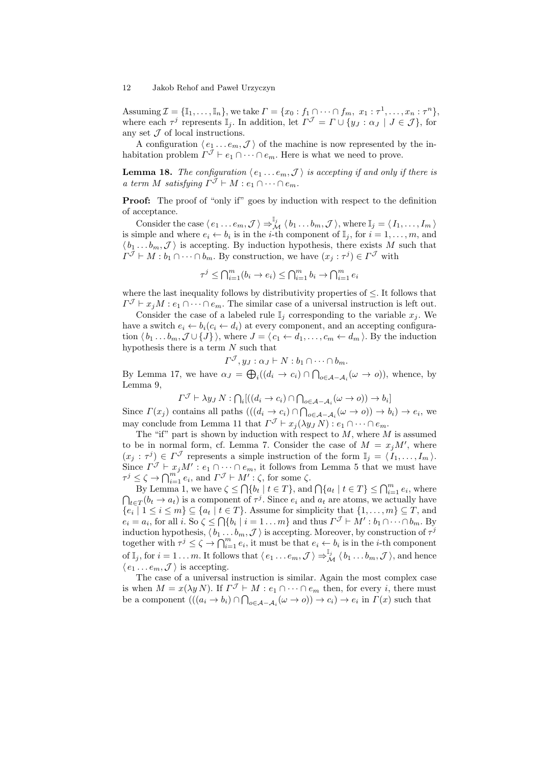Assuming  $\mathcal{I} = {\mathbb{I}_1, \ldots, \mathbb{I}_n}$ , we take  $\Gamma = \{x_0 : f_1 \cap \cdots \cap f_m, x_1 : \tau^1, \ldots, x_n : \tau^n\}$ , where each  $\tau^j$  represents  $\mathbb{I}_j$ . In addition, let  $\Gamma^{\mathcal{J}} = \Gamma \cup \{y_J : \alpha_J \mid J \in \mathcal{J}\}\,$  for any set  $J$  of local instructions.

A configuration  $\langle e_1 \dots e_m, \mathcal{J} \rangle$  of the machine is now represented by the inhabitation problem  $\Gamma^{\mathcal{J}} \vdash e_1 \cap \cdots \cap e_m$ . Here is what we need to prove.

**Lemma 18.** The configuration  $\langle e_1 \dots e_m, \mathcal{J} \rangle$  is accepting if and only if there is a term M satisfying  $\Gamma^{\mathcal{J}} \vdash M : e_1 \cap \cdots \cap e_m$ .

**Proof:** The proof of "only if" goes by induction with respect to the definition of acceptance.

Consider the case  $\langle e_1 \ldots e_m, \mathcal{J} \rangle \Rightarrow_M^{\mathbb{I}_j} \langle b_1 \ldots b_m, \mathcal{J} \rangle$ , where  $\mathbb{I}_j = \langle I_1, \ldots, I_m \rangle$ is simple and where  $e_i \leftarrow b_i$  is in the *i*-th component of  $\mathbb{I}_j$ , for  $i = 1, \ldots, m$ , and  $\langle b_1 \ldots b_m, \mathcal{J} \rangle$  is accepting. By induction hypothesis, there exists M such that  $\Gamma^{\mathcal{J}} \vdash M : b_1 \cap \cdots \cap b_m$ . By construction, we have  $(x_j : \tau^j) \in \Gamma^{\mathcal{J}}$  with

$$
\tau^j \le \bigcap_{i=1}^m (b_i \to e_i) \le \bigcap_{i=1}^m b_i \to \bigcap_{i=1}^m e_i
$$

where the last inequality follows by distributivity properties of  $\leq$ . It follows that  $\Gamma^{\mathcal{J}} \vdash x_j M : e_1 \cap \cdots \cap e_m$ . The similar case of a universal instruction is left out.

Consider the case of a labeled rule  $\mathbb{I}_i$  corresponding to the variable  $x_i$ . We have a switch  $e_i \leftarrow b_i (c_i \leftarrow d_i)$  at every component, and an accepting configuration  $\langle b_1 \dots b_m, \mathcal{J} \cup \{J\} \rangle$ , where  $J = \langle c_1 \leftarrow d_1, \dots, c_m \leftarrow d_m \rangle$ . By the induction hypothesis there is a term  $N$  such that

$$
\Gamma^{\mathcal{J}}, y_J : \alpha_J \vdash N : b_1 \cap \cdots \cap b_m.
$$

By Lemma 17, we have  $\alpha_J = \bigoplus_i ((d_i \to c_i) \cap \bigcap_{o \in A-A_i} (\omega \to o)),$  whence, by Lemma 9,

$$
\Gamma^{\mathcal{J}} \vdash \lambda y_J \, N : \bigcap_i [((d_i \to c_i) \cap \bigcap_{o \in \mathcal{A} - \mathcal{A}_i} (\omega \to o)) \to b_i]
$$

Since  $\Gamma(x_j)$  contains all paths  $(((d_i \to c_i) \cap \bigcap_{o \in A-A_i} (\omega \to o)) \to b_i) \to e_i$ , we may conclude from Lemma 11 that  $\Gamma^{\mathcal{J}} \vdash x_j(\lambda y_J N) : e_1 \cap \cdots \cap e_m$ .

The "if" part is shown by induction with respect to  $M$ , where  $M$  is assumed to be in normal form, cf. Lemma 7. Consider the case of  $M = x_j M'$ , where  $(x_j : \tau^j) \in \Gamma^{\mathcal{J}}$  represents a simple instruction of the form  $\mathbb{I}_j = \langle I_1, \ldots, I_m \rangle$ . Since  $\Gamma^{\mathcal{J}} \vdash x_j M' : e_1 \cap \cdots \cap e_m$ , it follows from Lemma 5 that we must have  $\tau^j \leq \zeta \to \bigcap_{i=1}^{m} e_i$ , and  $\Gamma^{\mathcal{J}} \vdash M' : \zeta$ , for some  $\zeta$ .

By Lemma 1, we have  $\zeta \leq \bigcap \{b_t \mid t \in T\}$ , and  $\bigcap \{a_t \mid t \in T\} \leq \bigcap_{i=1}^m e_i$ , where  $\bigcap_{t\in T}(b_t\to a_t)$  is a component of  $\tau^j$ . Since  $e_i$  and  $a_t$  are atoms, we actually have  $\{e_i \mid 1 \leq i \leq m\} \subseteq \{a_t \mid t \in T\}$ . Assume for simplicity that  $\{1, \ldots, m\} \subseteq T$ , and  $e_i = a_i$ , for all i. So  $\zeta \le \bigcap \{b_i \mid i = 1 \dots m\}$  and thus  $\Gamma^{\mathcal{J}} \vdash M' : b_1 \cap \cdots \cap b_m$ . By induction hypothesis,  $\langle b_1 \dots b_m, \mathcal{J} \rangle$  is accepting. Moreover, by construction of  $\tau^j$ together with  $\tau^j \leq \zeta \to \bigcap_{i=1}^m e_i$ , it must be that  $e_i \leftarrow b_i$  is in the *i*-th component of  $\mathbb{I}_j$ , for  $i = 1 \ldots m$ . It follows that  $\langle e_1 \ldots e_m, \mathcal{J} \rangle \Rightarrow_M^{\mathbb{I}_j} \langle b_1 \ldots b_m, \mathcal{J} \rangle$ , and hence  $\langle e_1 \dots e_m, \mathcal{J} \rangle$  is accepting.

The case of a universal instruction is similar. Again the most complex case is when  $M = x(\lambda y N)$ . If  $\Gamma^{\mathcal{J}} \vdash M : e_1 \cap \cdots \cap e_m$  then, for every i, there must be a component  $(((a_i \rightarrow b_i) \cap \bigcap_{o \in A-A_i} (\omega \rightarrow o)) \rightarrow c_i) \rightarrow e_i$  in  $\Gamma(x)$  such that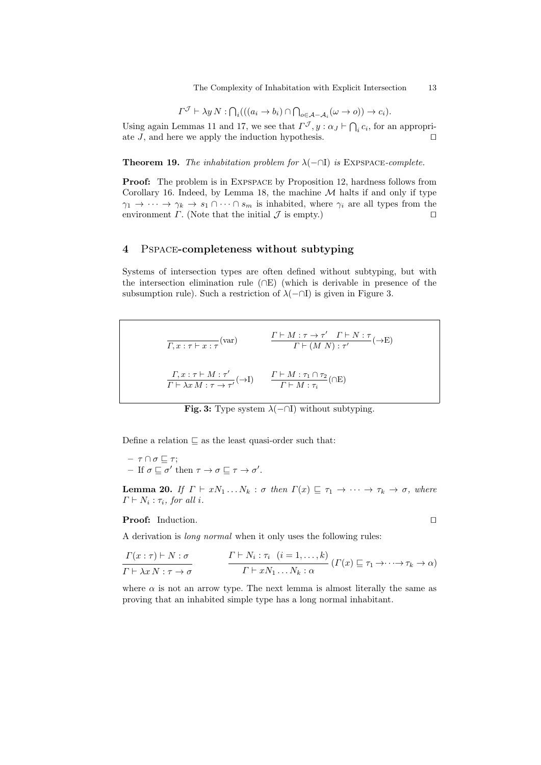The Complexity of Inhabitation with Explicit Intersection 13

$$
\Gamma^{\mathcal{J}} \vdash \lambda y \, N : \bigcap_i (((a_i \to b_i) \cap \bigcap_{o \in \mathcal{A} - \mathcal{A}_i} (\omega \to o)) \to c_i).
$$

Using again Lemmas 11 and 17, we see that  $\Gamma^{\mathcal{J}}$ ,  $y : \alpha_J \vdash \bigcap_i c_i$ , for an appropriate J, and here we apply the induction hypothesis.  $\Box$ 

**Theorem 19.** The inhabitation problem for  $\lambda$ ( $\neg$  $\Pi$ ) is EXPSPACE-complete.

Proof: The problem is in Expspace by Proposition 12, hardness follows from Corollary 16. Indeed, by Lemma 18, the machine  $M$  halts if and only if type  $\gamma_1 \to \cdots \to \gamma_k \to s_1 \cap \cdots \cap s_m$  is inhabited, where  $\gamma_i$  are all types from the environment  $\Gamma$ . (Note that the initial  $\mathcal J$  is empty.)

## 4 Pspace-completeness without subtyping

Systems of intersection types are often defined without subtyping, but with the intersection elimination rule (∩E) (which is derivable in presence of the subsumption rule). Such a restriction of  $\lambda(-\cap I)$  is given in Figure 3.

$$
\overline{\Gamma, x : \tau \vdash x : \tau} \text{(var)} \qquad \qquad \frac{\Gamma \vdash M : \tau \to \tau' \quad \Gamma \vdash N : \tau}{\Gamma \vdash (M \ N) : \tau'} \text{ (→E)}
$$
\n
$$
\frac{\Gamma, x : \tau \vdash M : \tau'}{\Gamma \vdash \lambda x M : \tau \to \tau'} \text{ (→I)} \qquad \frac{\Gamma \vdash M : \tau_1 \cap \tau_2}{\Gamma \vdash M : \tau_i} \text{ (∩E)}
$$

**Fig. 3:** Type system  $\lambda$ ( $\neg$ ∩I) without subtyping.

Define a relation  $\subseteq$  as the least quasi-order such that:

$$
- \tau \cap \sigma \sqsubseteq \tau;
$$
  
- If  $\sigma \sqsubseteq \sigma'$  then  $\tau \to \sigma \sqsubseteq \tau \to \sigma'.$ 

**Lemma 20.** If  $\Gamma \vdash xN_1 \dots N_k : \sigma$  then  $\Gamma(x) \sqsubseteq \tau_1 \rightarrow \cdots \rightarrow \tau_k \rightarrow \sigma$ , where  $\Gamma \vdash N_i : \tau_i$ , for all i.

Proof: Induction.  $\Box$ 

A derivation is long normal when it only uses the following rules:

$$
\frac{\Gamma(x:\tau) \vdash N:\sigma}{\Gamma \vdash \lambda x \, N:\tau \to \sigma} \qquad \qquad \frac{\Gamma \vdash N_i:\tau_i \ \ (i=1,\ldots,k)}{\Gamma \vdash x \, N_1 \ldots N_k:\alpha} \left( \Gamma(x) \sqsubseteq \tau_1 \to \cdots \to \tau_k \to \alpha \right)
$$

where  $\alpha$  is not an arrow type. The next lemma is almost literally the same as proving that an inhabited simple type has a long normal inhabitant.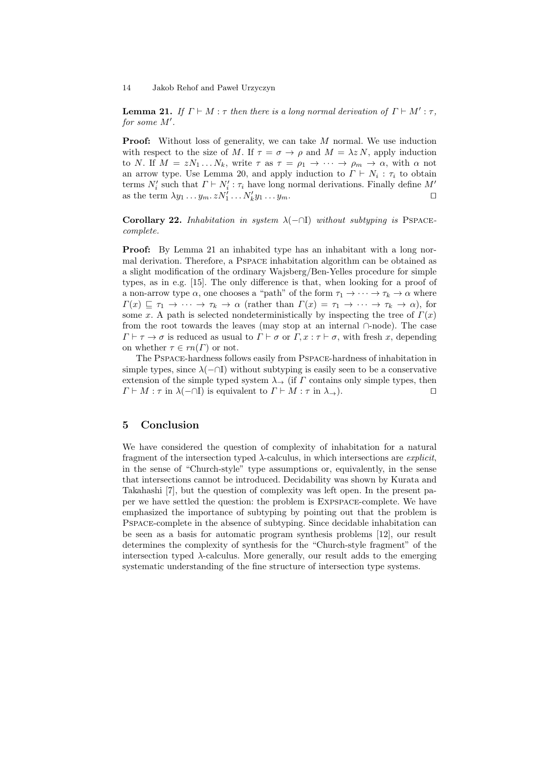**Lemma 21.** If  $\Gamma \vdash M : \tau$  then there is a long normal derivation of  $\Gamma \vdash M' : \tau$ , for some  $M'$ .

**Proof:** Without loss of generality, we can take M normal. We use induction with respect to the size of M. If  $\tau = \sigma \to \rho$  and  $M = \lambda z N$ , apply induction to N. If  $M = zN_1 \dots N_k$ , write  $\tau$  as  $\tau = \rho_1 \rightarrow \cdots \rightarrow \rho_m \rightarrow \alpha$ , with  $\alpha$  not an arrow type. Use Lemma 20, and apply induction to  $\Gamma \vdash N_i : \tau_i$  to obtain terms  $N_i'$  such that  $\Gamma \vdash N_i' : \tau_i$  have long normal derivations. Finally define  $M'$ as the term  $\lambda y_1 \dots y_m z N'_1 \dots N'_k y_1 \dots y_m$ .

Corollary 22. Inhabitation in system  $\lambda$ (-∩I) without subtyping is PSPACEcomplete.

Proof: By Lemma 21 an inhabited type has an inhabitant with a long normal derivation. Therefore, a Pspace inhabitation algorithm can be obtained as a slight modification of the ordinary Wajsberg/Ben-Yelles procedure for simple types, as in e.g. [15]. The only difference is that, when looking for a proof of a non-arrow type  $\alpha$ , one chooses a "path" of the form  $\tau_1 \to \cdots \to \tau_k \to \alpha$  where  $\Gamma(x) \subseteq \tau_1 \to \cdots \to \tau_k \to \alpha$  (rather than  $\Gamma(x) = \tau_1 \to \cdots \to \tau_k \to \alpha$ ), for some x. A path is selected nondeterministically by inspecting the tree of  $\Gamma(x)$ from the root towards the leaves (may stop at an internal ∩-node). The case  $\Gamma \vdash \tau \to \sigma$  is reduced as usual to  $\Gamma \vdash \sigma$  or  $\Gamma, x : \tau \vdash \sigma$ , with fresh x, depending on whether  $\tau \in rn(\Gamma)$  or not.

The Pspace-hardness follows easily from Pspace-hardness of inhabitation in simple types, since  $\lambda$ ( $\cap$ I) without subtyping is easily seen to be a conservative extension of the simple typed system  $\lambda_{\rightarrow}$  (if  $\Gamma$  contains only simple types, then  $\Gamma \vdash M : \tau$  in  $\lambda(-\cap I)$  is equivalent to  $\Gamma \vdash M : \tau$  in  $\lambda_{\rightarrow}$ ).

## 5 Conclusion

We have considered the question of complexity of inhabitation for a natural fragment of the intersection typed  $\lambda$ -calculus, in which intersections are *explicit*, in the sense of "Church-style" type assumptions or, equivalently, in the sense that intersections cannot be introduced. Decidability was shown by Kurata and Takahashi [7], but the question of complexity was left open. In the present paper we have settled the question: the problem is Expspace-complete. We have emphasized the importance of subtyping by pointing out that the problem is Pspace-complete in the absence of subtyping. Since decidable inhabitation can be seen as a basis for automatic program synthesis problems [12], our result determines the complexity of synthesis for the "Church-style fragment" of the intersection typed  $\lambda$ -calculus. More generally, our result adds to the emerging systematic understanding of the fine structure of intersection type systems.